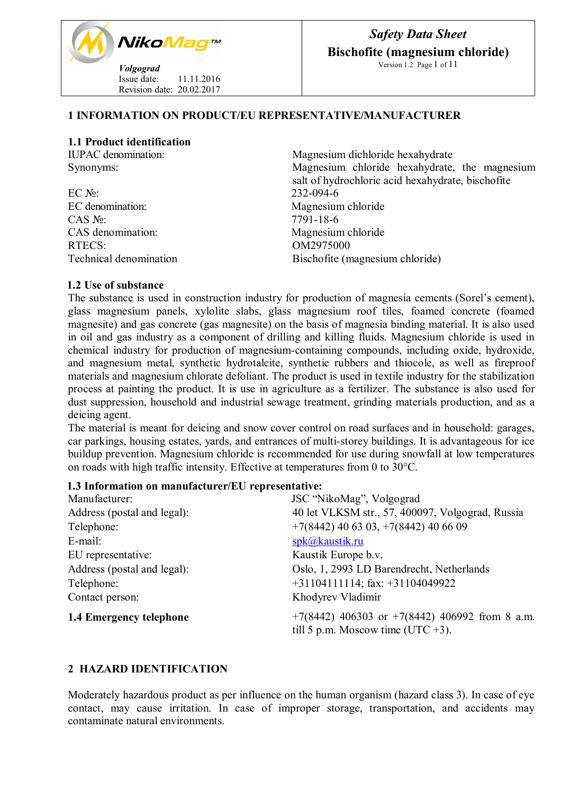

# **1 INFORMATION ON PRODUCT/EU REPRESENTATIVE/MANUFACTURER**

### **1.1 Product identification**

 $\text{EC N}_2$ : 232-094-6<br>EC denomination: 232-094-6 CAS №: 7791-18-6<br>CAS denomination: 7791-18-6 RTECS: OM2975000

IUPAC denomination: Magnesium dichloride hexahydrate Synonyms: Magnesium chloride hexahydrate, the magnesium salt of hydrochloric acid hexahydrate, bischofite Magnesium chloride Magnesium chloride Technical denomination Bischofite (magnesium chloride)

## **1.2 Use of substance**

The substance is used in construction industry for production of magnesia cements (Sorel's cement), glass magnesium panels, xylolite slabs, glass magnesium roof tiles, foamed concrete (foamed magnesite) and gas concrete (gas magnesite) on the basis of magnesia binding material. It is also used in oil and gas industry as a component of drilling and killing fluids. Magnesium chloride is used in chemical industry for production of magnesium-containing compounds, including oxide, hydroxide, and magnesium metal, synthetic hydrotalcite, synthetic rubbers and thiocole, as well as fireproof materials and magnesium chlorate defoliant. The product is used in textile industry for the stabilization process at painting the product. It is use in agriculture as a fertilizer. The substance is also used for dust suppression, household and industrial sewage treatment, grinding materials production, and as a deicing agent.

The material is meant for deicing and snow cover control on road surfaces and in household: garages, car parkings, housing estates, yards, and entrances of multi-storey buildings. It is advantageous for ice buildup prevention. Magnesium chloride is recommended for use during snowfall at low temperatures on roads with high traffic intensity. Effective at temperatures from 0 to 30°С.

#### **1.3 Information on manufacturer/ЕU representative:**

| Manufacturer:               | JSC "NikoMag", Volgograd                           |
|-----------------------------|----------------------------------------------------|
| Address (postal and legal): | 40 let VLKSM str., 57, 400097, Volgograd, Russia   |
| Telephone:                  | $+7(8442)$ 40 63 03, $+7(8442)$ 40 66 09           |
| E-mail:                     | $spk(a)$ kaustik.ru                                |
| EU representative:          | Kaustik Europe b.v.                                |
| Address (postal and legal): | Oslo, 1, 2993 LD Barendrecht, Netherlands          |
| Telephone:                  | $+31104111114$ ; fax: $+31104049922$               |
| Contact person:             | Khodyrev Vladimir                                  |
| 1.4 Emergency telephone     | $+7(8442)$ 406303 or $+7(8442)$ 406992 from 8 a.m. |
|                             | till 5 p.m. Moscow time (UTC $+3$ ).               |

# **2 HAZARD IDENTIFICATION**

Moderately hazardous product as per influence on the human organism (hazard class 3). In case of eye contact, may cause irritation. In case of improper storage, transportation, and accidents may contaminate natural environments.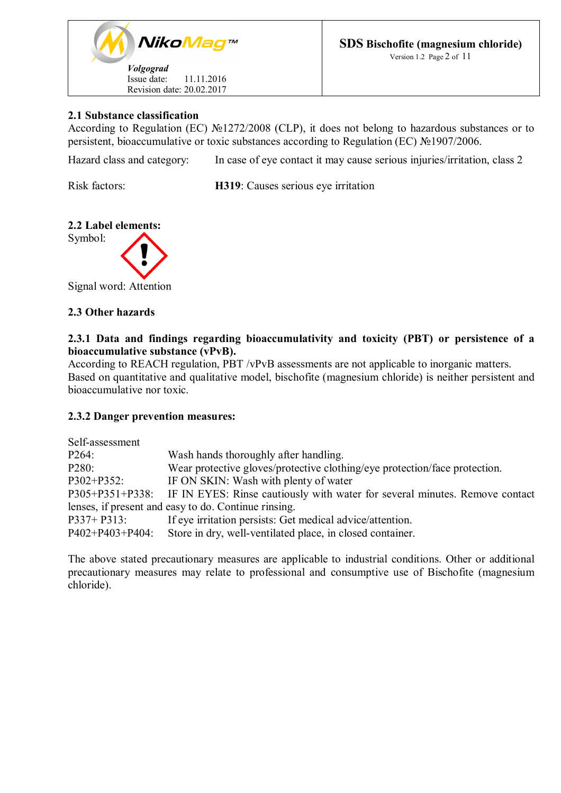

# **2.1 Substance classification**

According to Regulation (EC) №1272/2008 (CLP), it does not belong to hazardous substances or to persistent, bioaccumulative or toxic substances according to Regulation (ЕC) №1907/2006.

Hazard class and category: In case of eye contact it may cause serious injuries/irritation, class 2

Risk factors: **H319**: Causes serious eye irritation

# **2.2 Label elements:**



Signal word: Attention

## **2.3 Other hazards**

# **2.3.1 Data and findings regarding bioaccumulativity and toxicity (PBT) or persistence of a bioaccumulative substance (vPvB).**

According to REACH regulation, PBT /vPvB assessments are not applicable to inorganic matters. Based on quantitative and qualitative model, bischofite (magnesium chloride) is neither persistent and bioaccumulative nor toxic.

# **2.3.2 Danger prevention measures:**

| Self-assessment                                      |                                                                                             |  |
|------------------------------------------------------|---------------------------------------------------------------------------------------------|--|
| P264:                                                | Wash hands thoroughly after handling.                                                       |  |
| P280:                                                | Wear protective gloves/protective clothing/eye protection/face protection.                  |  |
| P302+P352:                                           | IF ON SKIN: Wash with plenty of water                                                       |  |
|                                                      | P305+P351+P338: IF IN EYES: Rinse cautiously with water for several minutes. Remove contact |  |
| lenses, if present and easy to do. Continue rinsing. |                                                                                             |  |
| $P337+P313$ :                                        | If eye irritation persists: Get medical advice/attention.                                   |  |
| $P402 + P403 + P404$ :                               | Store in dry, well-ventilated place, in closed container.                                   |  |

The above stated precautionary measures are applicable to industrial conditions. Other or additional precautionary measures may relate to professional and consumptive use of Bischofite (magnesium chloride).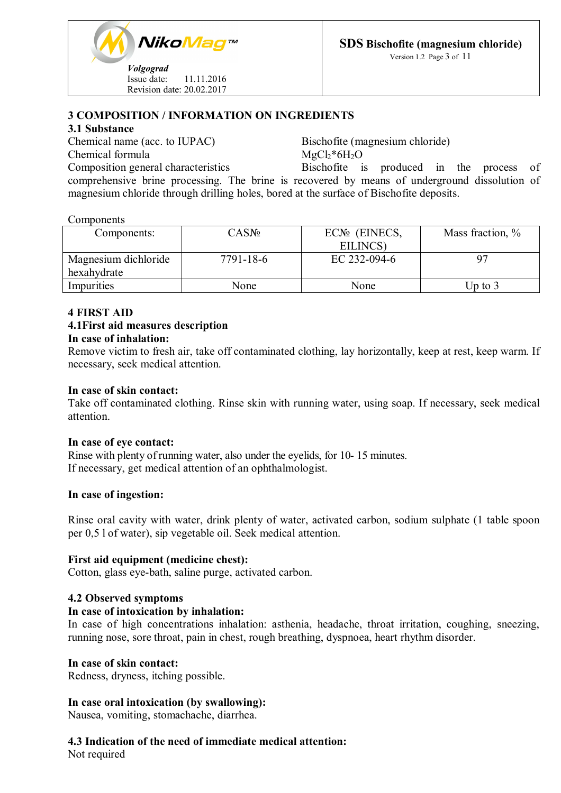

Version 1.2 Page 3 of 11

# **3 COMPOSITION / INFORMATION ON INGREDIENTS**

#### **3.1 Substance**

Chemical name (acc. to IUPAC) Bischofite (magnesium chloride) Chemical formula  $MgCl_2*6H_2O$ 

Composition general characteristics Bischofite is produced in the process of comprehensive brine processing. The brine is recovered by means of underground dissolution of magnesium chloride through drilling holes, bored at the surface of Bischofite deposits.

#### **Components**

| Components:          | CASN <sub>2</sub> | $ECN2$ (EINECS, | Mass fraction, % |
|----------------------|-------------------|-----------------|------------------|
|                      |                   | EILINCS)        |                  |
| Magnesium dichloride | 7791-18-6         | EC 232-094-6    | Q7               |
| hexahydrate          |                   |                 |                  |
| Impurities           | None              | None            | Up to 3          |

# **4 FIRST AID**

# **4.1First aid measures description**

# **In case of inhalation:**

Remove victim to fresh air, take off contaminated clothing, lay horizontally, keep at rest, keep warm. If necessary, seek medical attention.

### **In case of skin contact:**

Take off contaminated clothing. Rinse skin with running water, using soap. If necessary, seek medical attention.

#### **In case of eye contact:**

Rinse with plenty of running water, also under the eyelids, for 10- 15 minutes. If necessary, get medical attention of an ophthalmologist.

#### **In case of ingestion:**

Rinse oral cavity with water, drink plenty of water, activated carbon, sodium sulphate (1 table spoon per 0,5 l of water), sip vegetable oil. Seek medical attention.

#### **First aid equipment (medicine chest):**

Cotton, glass eye-bath, saline purge, activated carbon.

# **4.2 Observed symptoms**

#### **In case of intoxication by inhalation:**

In case of high concentrations inhalation: asthenia, headache, throat irritation, coughing, sneezing, running nose, sore throat, pain in chest, rough breathing, dyspnoea, heart rhythm disorder.

#### **In case of skin contact:**

Redness, dryness, itching possible.

# **In case oral intoxication (by swallowing):**

Nausea, vomiting, stomachache, diarrhea.

# **4.3 Indication of the need of immediate medical attention:**

Not required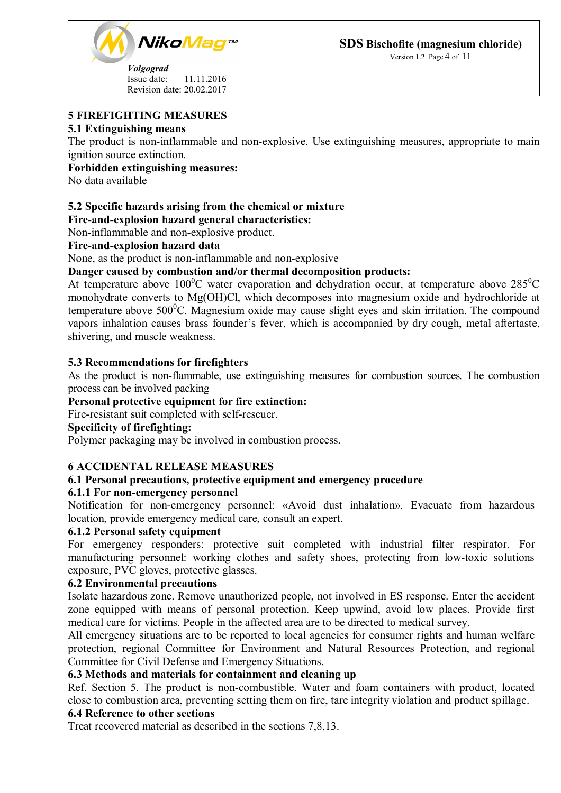

## Version 1.2 Page 4 of 11

# **5 FIREFIGHTING MEASURES**

### **5.1 Extinguishing means**

The product is non-inflammable and non-explosive. Use extinguishing measures, appropriate to main ignition source extinction.

## **Forbidden extinguishing measures:**

No data available

# **5.2 Specific hazards arising from the chemical or mixture**

## **Fire-and-explosion hazard general characteristics:**

Non-inflammable and non-explosive product.

## **Fire-and-explosion hazard data**

None, as the product is non-inflammable and non-explosive

## **Danger caused by combustion and/or thermal decomposition products:**

At temperature above  $100^0$ C water evaporation and dehydration occur, at temperature above  $285^0$ C monohydrate converts to Mg(OH)Cl, which decomposes into magnesium oxide and hydrochloride at temperature above  $500^{\circ}$ C. Magnesium oxide may cause slight eyes and skin irritation. The compound vapors inhalation causes brass founder's fever, which is accompanied by dry cough, metal aftertaste, shivering, and muscle weakness.

## **5.3 Recommendations for firefighters**

As the product is non-flammable, use extinguishing measures for combustion sources. The combustion process can be involved packing

## **Personal protective equipment for fire extinction:**

Fire-resistant suit completed with self-rescuer.

# **Specificity of firefighting:**

Polymer packaging may be involved in combustion process.

#### **6 ACCIDENTAL RELEASE MEASURES**

# **6.1 Personal precautions, protective equipment and emergency procedure**

#### **6.1.1 For non-emergency personnel**

Notification for non-emergency personnel: «Avoid dust inhalation». Evacuate from hazardous location, provide emergency medical care, consult an expert.

#### **6.1.2 Personal safety equipment**

For emergency responders: protective suit completed with industrial filter respirator. For manufacturing personnel: working clothes and safety shoes, protecting from low-toxic solutions exposure, PVC gloves, protective glasses.

# **6.2 Environmental precautions**

Isolate hazardous zone. Remove unauthorized people, not involved in ES response. Enter the accident zone equipped with means of personal protection. Keep upwind, avoid low places. Provide first medical care for victims. People in the affected area are to be directed to medical survey.

All emergency situations are to be reported to local agencies for consumer rights and human welfare protection, regional Committee for Environment and Natural Resources Protection, and regional Committee for Civil Defense and Emergency Situations.

#### **6.3 Methods and materials for containment and cleaning up**

Ref. Section 5. The product is non-combustible. Water and foam containers with product, located close to combustion area, preventing setting them on fire, tare integrity violation and product spillage.

# **6.4 Reference to other sections**

Treat recovered material as described in the sections 7,8,13.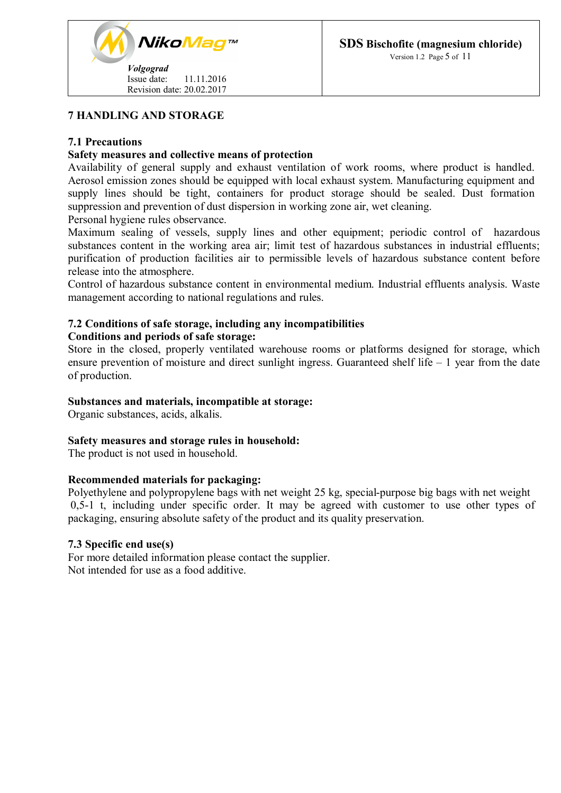

# **7 HANDLING AND STORAGE**

## **7.1 Precautions**

### **Safety measures and collective means of protection**

Availability of general supply and exhaust ventilation of work rooms, where product is handled. Aerosol emission zones should be equipped with local exhaust system. Manufacturing equipment and supply lines should be tight, containers for product storage should be sealed. Dust formation suppression and prevention of dust dispersion in working zone air, wet cleaning.

Personal hygiene rules observance.

Maximum sealing of vessels, supply lines and other equipment; periodic control of hazardous substances content in the working area air; limit test of hazardous substances in industrial effluents; purification of production facilities air to permissible levels of hazardous substance content before release into the atmosphere.

Control of hazardous substance content in environmental medium. Industrial effluents analysis. Waste management according to national regulations and rules.

## **7.2 Conditions of safe storage, including any incompatibilities**

#### **Conditions and periods of safe storage:**

Store in the closed, properly ventilated warehouse rooms or platforms designed for storage, which ensure prevention of moisture and direct sunlight ingress. Guaranteed shelf life – 1 year from the date of production.

#### **Substances and materials, incompatible at storage:**

Organic substances, acids, alkalis.

#### **Safety measures and storage rules in household:**

The product is not used in household.

# **Recommended materials for packaging:**

Polyethylene and polypropylene bags with net weight 25 kg, special-purpose big bags with net weight 0,5-1 t, including under specific order. It may be agreed with customer to use other types of packaging, ensuring absolute safety of the product and its quality preservation.

#### **7.3 Specific end use(s)**

For more detailed information please contact the supplier. Not intended for use as a food additive.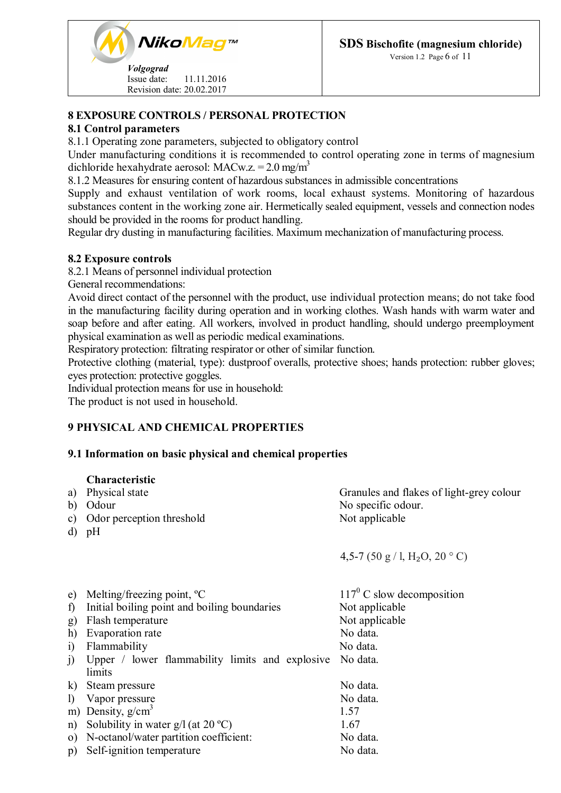

Version 1.2 Page 6 of 11

# **8 EXPOSURE CONTROLS / PERSONAL PROTECTION**

## **8.1 Control parameters**

8.1.1 Operating zone parameters, subjected to obligatory control

Under manufacturing conditions it is recommended to control operating zone in terms of magnesium dichloride hexahydrate aerosol: MACw.z. =  $2.0 \text{ mg/m}^3$ 

8.1.2 Measures for ensuring content of hazardous substances in admissible concentrations

Supply and exhaust ventilation of work rooms, local exhaust systems. Monitoring of hazardous substances content in the working zone air. Hermetically sealed equipment, vessels and connection nodes should be provided in the rooms for product handling.

Regular dry dusting in manufacturing facilities. Maximum mechanization of manufacturing process.

# **8.2 Exposure controls**

8.2.1 Means of personnel individual protection

General recommendations:

Avoid direct contact of the personnel with the product, use individual protection means; do not take food in the manufacturing facility during operation and in working clothes. Wash hands with warm water and soap before and after eating. All workers, involved in product handling, should undergo preemployment physical examination as well as periodic medical examinations.

Respiratory protection: filtrating respirator or other of similar function.

Protective clothing (material, type): dustproof overalls, protective shoes; hands protection: rubber gloves; eyes protection: protective goggles.

Individual protection means for use in household:

The product is not used in household.

# **9 PHYSICAL AND CHEMICAL PROPERTIES**

# **9.1 Information on basic physical and chemical properties**

#### **Characteristic**

| a)<br>b)<br>C)<br>d)                                       | Physical state<br>Odour<br>Odor perception threshold<br>pH                                                                                                                                      | Granules and flakes of light-grey colour<br>No specific odour.<br>Not applicable                           |
|------------------------------------------------------------|-------------------------------------------------------------------------------------------------------------------------------------------------------------------------------------------------|------------------------------------------------------------------------------------------------------------|
|                                                            |                                                                                                                                                                                                 | 4,5-7 (50 g/l, H <sub>2</sub> O, 20 °C)                                                                    |
| e)<br>$\mathbf{f}$<br>g)<br>h)<br>$\ddot{1}$<br>$\ddot{1}$ | Melting/freezing point, $^{\circ}C$<br>Initial boiling point and boiling boundaries<br>Flash temperature<br>Evaporation rate<br>Flammability<br>Upper / lower flammability limits and explosive | $117^{\circ}$ C slow decomposition<br>Not applicable<br>Not applicable<br>No data.<br>No data.<br>No data. |
| $\bf{k}$<br>$\mathbf{D}$<br>n)<br>p)                       | limits<br>Steam pressure<br>Vapor pressure<br>m) Density, $g/cm3$<br>Solubility in water $g/l$ (at 20 °C)<br>o) N-octanol/water partition coefficient:<br>Self-ignition temperature             | No data.<br>No data.<br>1.57<br>1.67<br>No data.<br>No data.                                               |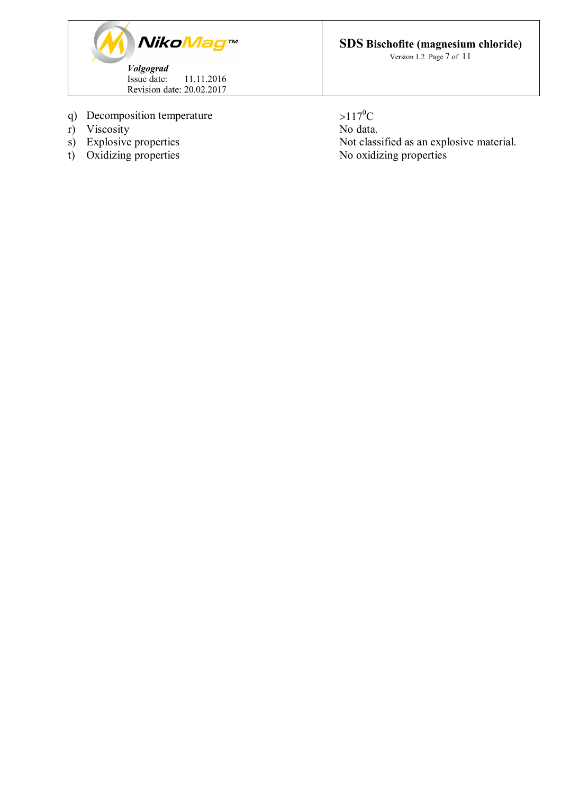

- q) Decomposition temperature  $>117^0C$ <br>r) Viscosity No data.
- 
- r) Viscosity<br>s) Explosive properties
- 

**SDS Bischofite (magnesium chloride)**

Version 1.2 Page 7 of 11

s) Explosive properties Not classified as an explosive material.<br>
t) Oxidizing properties No oxidizing properties No oxidizing properties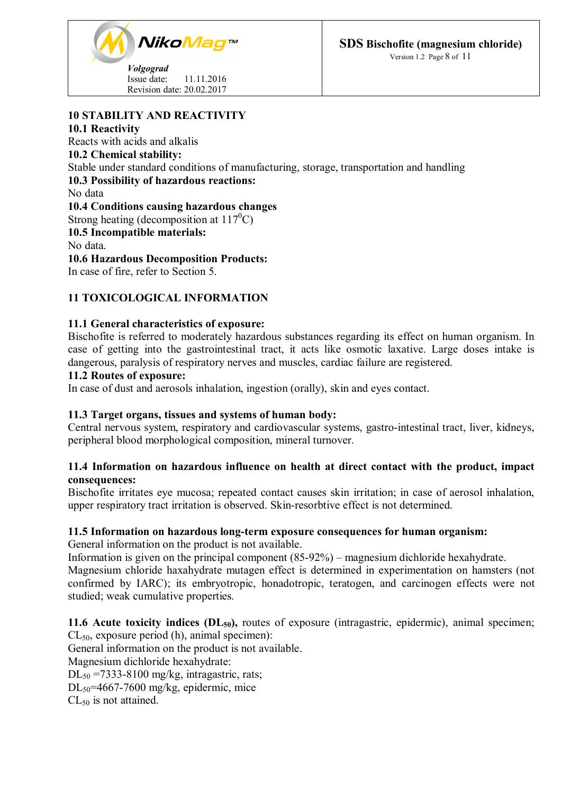*NikoMag*™ *Volgograd* Issue date: 11.11.2016

Revision date: 20.02.2017

**SDS Bischofite (magnesium chloride)**

Version 1.2 Page 8 of 11

# **10 STABILITY AND REACTIVITY**

## **10.1 Reactivity**

Reacts with acids and alkalis **10.2 Chemical stability:** Stable under standard conditions of manufacturing, storage, transportation and handling **10.3 Possibility of hazardous reactions:** No data **10.4 Conditions causing hazardous changes** Strong heating (decomposition at  $117^{\circ}$ C) **10.5 Incompatible materials:**

No data.

**10.6 Hazardous Decomposition Products:**

In case of fire, refer to Section 5.

# **11 TOXICOLOGICAL INFORMATION**

# **11.1 General characteristics of exposure:**

Bischofite is referred to moderately hazardous substances regarding its effect on human organism. In case of getting into the gastrointestinal tract, it acts like osmotic laxative. Large doses intake is dangerous, paralysis of respiratory nerves and muscles, cardiac failure are registered.

## **11.2 Routes of exposure:**

In case of dust and aerosols inhalation, ingestion (orally), skin and eyes contact.

# **11.3 Target organs, tissues and systems of human body:**

Central nervous system, respiratory and cardiovascular systems, gastro-intestinal tract, liver, kidneys, peripheral blood morphological composition, mineral turnover.

# **11.4 Information on hazardous influence on health at direct contact with the product, impact consequences:**

Bischofite irritates eye mucosa; repeated contact causes skin irritation; in case of aerosol inhalation, upper respiratory tract irritation is observed. Skin-resorbtive effect is not determined.

# **11.5 Information on hazardous long-term exposure consequences for human organism:**

General information on the product is not available.

Information is given on the principal component (85-92%) – magnesium dichloride hexahydrate. Magnesium chloride haxahydrate mutagen effect is determined in experimentation on hamsters (not confirmed by IARC); its embryotropic, honadotropic, teratogen, and carcinogen effects were not studied; weak cumulative properties.

# **11.6 Acute toxicity indices (DL50),** routes of exposure (intragastric, epidermic), animal specimen; CL50, exposure period (h), animal specimen):

General information on the product is not available.

Magnesium dichloride hexahydrate:

 $DL_{50} = 7333-8100$  mg/kg, intragastric, rats;

 $DL_{50}$ =4667-7600 mg/kg, epidermic, mice

CL<sup>50</sup> is not attained.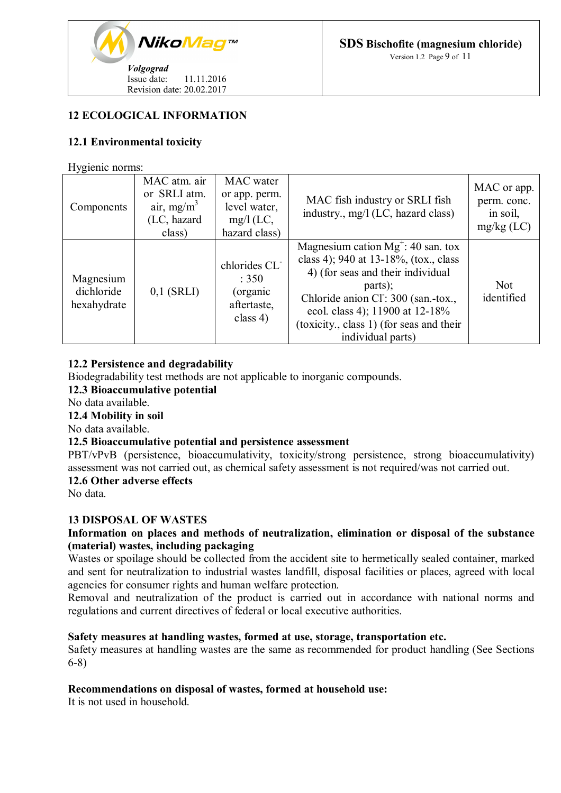

# **12 ECOLOGICAL INFORMATION**

# **12.1 Environmental toxicity**

Hygienic norms:

| Components                             | MAC atm. air<br>or SRLI atm.<br>air, mg/m <sup>3</sup><br>(LC, hazard<br>class) | MAC water<br>or app. perm.<br>level water,<br>$mg/l$ (LC,<br>hazard class)    | MAC fish industry or SRLI fish<br>industry., mg/l (LC, hazard class)                                                                                                                                                                                                     | MAC or app.<br>perm. conc.<br>in soil,<br>$mg/kg$ (LC) |
|----------------------------------------|---------------------------------------------------------------------------------|-------------------------------------------------------------------------------|--------------------------------------------------------------------------------------------------------------------------------------------------------------------------------------------------------------------------------------------------------------------------|--------------------------------------------------------|
| Magnesium<br>dichloride<br>hexahydrate | $0,1$ (SRLI)                                                                    | chlorides CL <sup>-</sup><br>: $350$<br>(organic<br>aftertaste,<br>class $4)$ | Magnesium cation $Mg^+$ : 40 san. tox<br>class 4); 940 at 13-18%, (tox., class<br>4) (for seas and their individual<br>parts);<br>Chloride anion Cl: 300 (san.-tox.,<br>ecol. class 4); 11900 at 12-18%<br>(toxicity., class 1) (for seas and their<br>individual parts) | <b>Not</b><br>identified                               |

## **12.2 Persistence and degradability**

Biodegradability test methods are not applicable to inorganic compounds.

# **12.3 Bioaccumulative potential**

No data available.

#### **12.4 Mobility in soil**

No data available.

#### **12.5 Bioaccumulative potential and persistence assessment**

PBT/vPvB (persistence, bioaccumulativity, toxicity/strong persistence, strong bioaccumulativity) assessment was not carried out, as chemical safety assessment is not required/was not carried out.

# **12.6 Other adverse effects**

No data.

#### **13 DISPOSAL OF WASTES**

# **Information on places and methods of neutralization, elimination or disposal of the substance (material) wastes, including packaging**

Wastes or spoilage should be collected from the accident site to hermetically sealed container, marked and sent for neutralization to industrial wastes landfill, disposal facilities or places, agreed with local agencies for consumer rights and human welfare protection.

Removal and neutralization of the product is carried out in accordance with national norms and regulations and current directives of federal or local executive authorities.

#### **Safety measures at handling wastes, formed at use, storage, transportation etc.**

Safety measures at handling wastes are the same as recommended for product handling (See Sections 6-8)

#### **Recommendations on disposal of wastes, formed at household use:**

It is not used in household.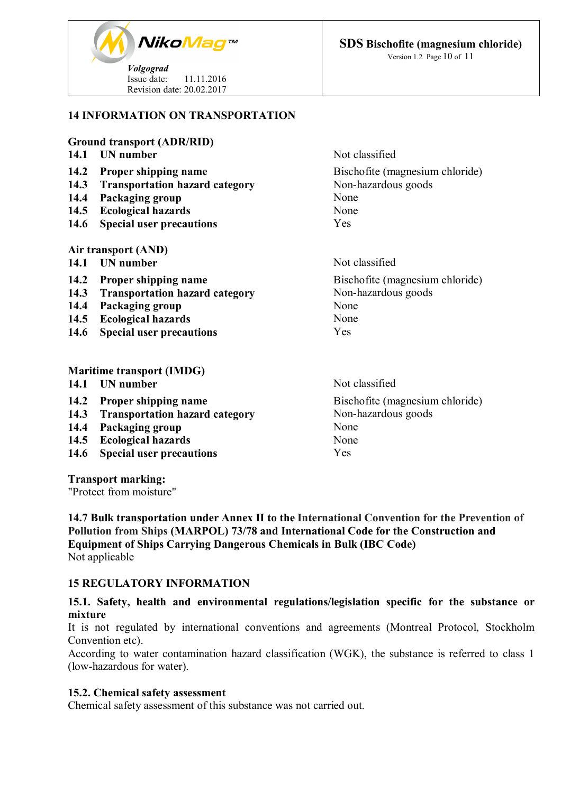

# **14 INFORMATION ON TRANSPORTATION**

#### **Ground transport (ADR/RID)**

| 14.1        | UN number                             | Not classified                  |
|-------------|---------------------------------------|---------------------------------|
| 14.2        | <b>Proper shipping name</b>           | Bischofite (magnesium chloride) |
| 14.3        | <b>Transportation hazard category</b> | Non-hazardous goods             |
| 14.4        | Packaging group                       | None                            |
| 14.5        | <b>Ecological hazards</b>             | None                            |
| <b>14.6</b> | <b>Special user precautions</b>       | Yes                             |
|             | Air transport (AND)                   |                                 |
| 14.1        | UN number                             | Not classified                  |
| 14.2        | <b>Proper shipping name</b>           | Bischofite (magnesium chloride) |
| 14.3        | <b>Transportation hazard category</b> | Non-hazardous goods             |
| 14.4        | Packaging group                       | None                            |
| 14.5        | <b>Ecological hazards</b>             | None                            |
| <b>14.6</b> | <b>Special user precautions</b>       | Yes                             |
|             |                                       |                                 |
|             |                                       |                                 |

#### **Maritime transport (IMDG) 14.1 IIN** number Not classified

- 
- **14.2 Proper shipping name** Bischofite (magnesium chloride)<br> **14.3 Transportation hazard category** Non-hazardous goods **14.3** Transportation hazard category
- **14.4 Packaging group** None<br> **14.5 Ecological hazards** None
- **14.5 Ecological hazards**
- **14.6 Special user precautions** Yes

**Transport marking:**

"Protect from moisture"

**14.7 Bulk transportation under Annex II to the International Convention for the Prevention of Pollution from Ships (MARPOL) 73/78 and International Code for the Construction and Equipment of Ships Carrying Dangerous Chemicals in Bulk (IBC Code)** Not applicable

# **15 REGULATORY INFORMATION**

# **15.1. Safety, health and environmental regulations/legislation specific for the substance or mixture**

It is not regulated by international conventions and agreements (Montreal Protocol, Stockholm Convention etc).

According to water contamination hazard classification (WGK), the substance is referred to class 1 (low-hazardous for water).

#### **15.2. Chemical safety assessment**

Chemical safety assessment of this substance was not carried out.

**SDS Bischofite (magnesium chloride)**

Version 1.2 Page 10 of 11